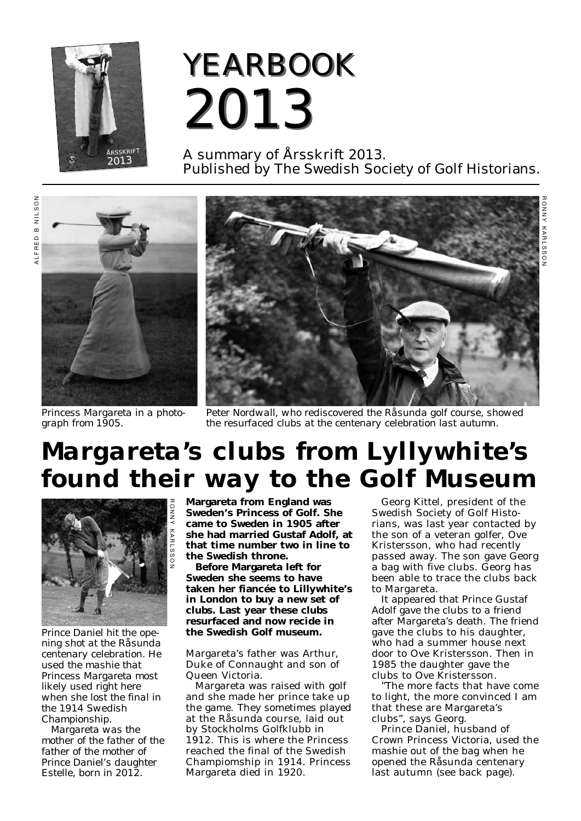

## *YEARBOOK YEARBOOK 2013 2013*

A summary of Årsskrift 2013. Published by The Swedish Society of Golf Historians.



*Princess Margareta in a photo graph from 1905.*



*Peter Nordwall, who rediscovered the Råsunda golf course, showed the resurfaced clubs at the centenary celebration last autumn.*

## *Margareta's clubs from Lyllywhite's found their way to the Golf Museum*



*Prince Daniel hit the opening shot at the Råsunda centenary celebration. He used the mashie that Princess Margareta most likely used right here when she lost the final in the 1914 Swedish Championship.* 

*Margareta was the mother of the father of the father of the mother of Prince Daniel's daughter Estelle, born in 2012.*

**Margareta from England was Sweden's Princess of Golf. She came to Sweden in 1905 after she had married Gustaf Adolf, at that time number two in line to the Swedish throne.**

**Before Margareta left for Sweden she seems to have taken her fiancée to Lillywhite's in London to buy a new set of clubs. Last year these clubs resurfaced and now recide in the Swedish Golf museum.**

Margareta's father was Arthur, Duke of Connaught and son of Queen Victoria.

Margareta was raised with golf and she made her prince take up the game. They sometimes played at the Råsunda course, laid out by Stockholms Golfklubb in 1912. This is where the Princess reached the final of the Swedish Champiomship in 1914. Princess Margareta died in 1920.

Georg Kittel, president of the Swedish Society of Golf Histo rians, was last year contacted by the son of a veteran golfer, Ove Kristersson, who had recently passed away. The son gave Georg a bag with five clubs. Georg has been able to trace the clubs back to Margareta.

It appeared that Prince Gustaf Adolf gave the clubs to a friend after Margareta's death. The friend gave the clubs to his daughter, who had a summer house next door to Ove Kristersson. Then in 1985 the daughter gave the clubs to Ove Kristersson.

"The more facts that have come to light, the more convinced I am that these are Margareta's clubs", says Georg.

Prince Daniel, husband of Crown Princess Victoria, used the mashie out of the bag when he opened the Råsunda centenary last autumn (see back page).